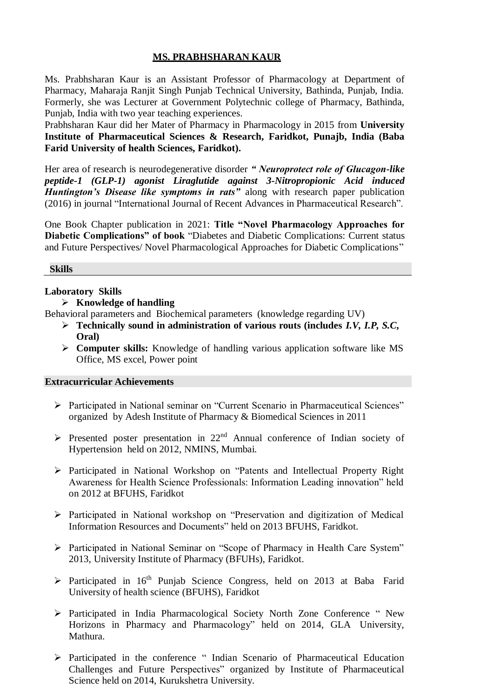## **MS. PRABHSHARAN KAUR**

Ms. Prabhsharan Kaur is an Assistant Professor of Pharmacology at Department of Pharmacy, Maharaja Ranjit Singh Punjab Technical University, Bathinda, Punjab, India. Formerly, she was Lecturer at Government Polytechnic college of Pharmacy, Bathinda, Punjab, India with two year teaching experiences.

Prabhsharan Kaur did her Mater of Pharmacy in Pharmacology in 2015 from **University Institute of Pharmaceutical Sciences & Research, Faridkot, Punajb, India (Baba Farid University of health Sciences, Faridkot).**

Her area of research is neurodegenerative disorder *" Neuroprotect role of Glucagon-like peptide-1 (GLP-1) agonist Liraglutide against 3-Nitropropionic Acid induced Huntington's Disease like symptoms in rats"* along with research paper publication (2016) in journal "International Journal of Recent Advances in Pharmaceutical Research".

One Book Chapter publication in 2021: **Title "Novel Pharmacology Approaches for Diabetic Complications" of book** "Diabetes and Diabetic Complications: Current status and Future Perspectives/ Novel Pharmacological Approaches for Diabetic Complications"

#### **Skills**

# **Laboratory Skills**

# **Knowledge of handling**

Behavioral parameters and Biochemical parameters (knowledge regarding UV)

- **Technically sound in administration of various routs (includes** *I.V, I.P, S.C***, Oral)**
- **Computer skills:** Knowledge of handling various application software like MS Office, MS excel, Power point

#### **Extracurricular Achievements**

- Participated in National seminar on "Current Scenario in Pharmaceutical Sciences" organized by Adesh Institute of Pharmacy & Biomedical Sciences in 2011
- $\triangleright$  Presented poster presentation in 22<sup>nd</sup> Annual conference of Indian society of Hypertension held on 2012, NMINS, Mumbai.
- Participated in National Workshop on "Patents and Intellectual Property Right Awareness for Health Science Professionals: Information Leading innovation" held on 2012 at BFUHS, Faridkot
- Participated in National workshop on "Preservation and digitization of Medical Information Resources and Documents" held on 2013 BFUHS, Faridkot.
- Participated in National Seminar on "Scope of Pharmacy in Health Care System" 2013, University Institute of Pharmacy (BFUHs), Faridkot.
- $\triangleright$  Participated in 16<sup>th</sup> Punjab Science Congress, held on 2013 at Baba Farid University of health science (BFUHS), Faridkot
- Participated in India Pharmacological Society North Zone Conference " New Horizons in Pharmacy and Pharmacology" held on 2014, GLA University, Mathura.
- Participated in the conference " Indian Scenario of Pharmaceutical Education Challenges and Future Perspectives" organized by Institute of Pharmaceutical Science held on 2014, Kurukshetra University.